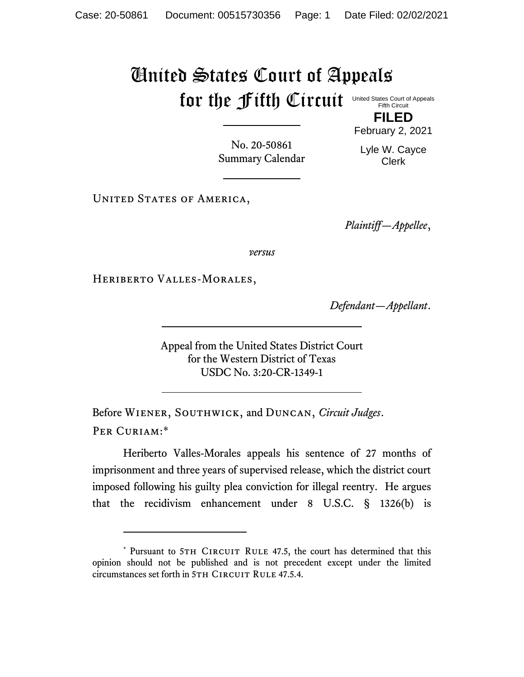## United States Court of Appeals for the fifth Circuit United States Court of Appeals

Fifth Circuit

**FILED** February 2, 2021

No. 20-50861 Summary Calendar Lyle W. Cayce Clerk

UNITED STATES OF AMERICA,

*Plaintiff—Appellee*,

*versus*

Heriberto Valles-Morales,

*Defendant—Appellant*.

Appeal from the United States District Court for the Western District of Texas USDC No. 3:20-CR-1349-1

Before Wiener, Southwick, and Duncan, *Circuit Judges*. Per Curiam:\*

Heriberto Valles-Morales appeals his sentence of 27 months of imprisonment and three years of supervised release, which the district court imposed following his guilty plea conviction for illegal reentry. He argues that the recidivism enhancement under 8 U.S.C. § 1326(b) is

<sup>\*</sup> Pursuant to 5TH CIRCUIT RULE 47.5, the court has determined that this opinion should not be published and is not precedent except under the limited circumstances set forth in 5TH CIRCUIT RULE 47.5.4.